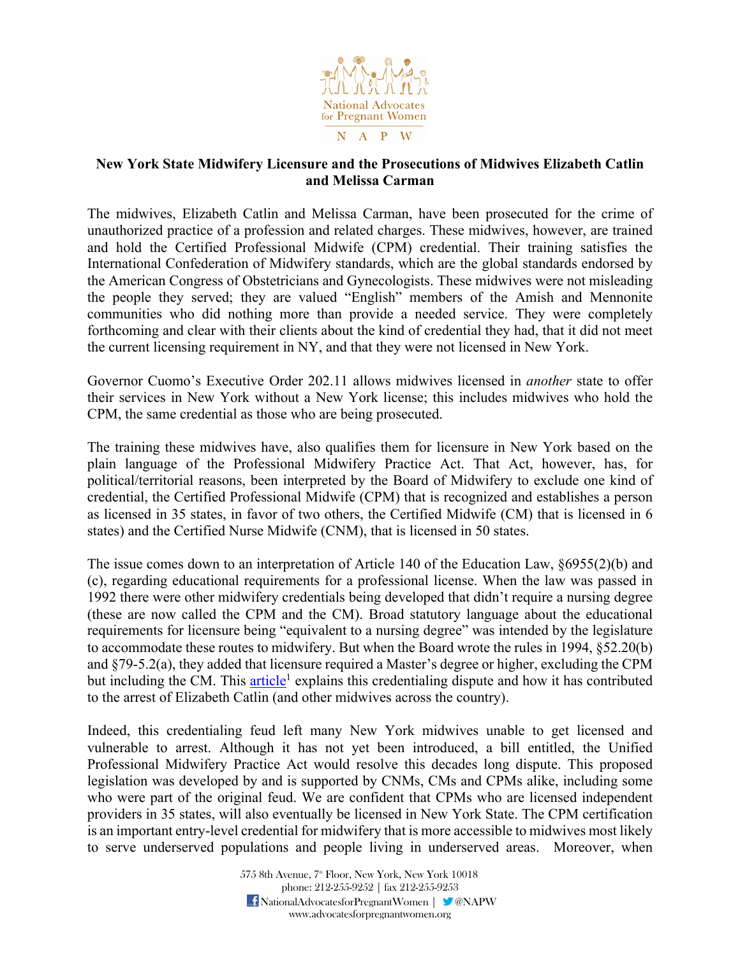

## **New York State Midwifery Licensure and the Prosecutions of Midwives Elizabeth Catlin and Melissa Carman**

The midwives, Elizabeth Catlin and Melissa Carman, have been prosecuted for the crime of unauthorized practice of a profession and related charges. These midwives, however, are trained and hold the Certified Professional Midwife (CPM) credential. Their training satisfies the International Confederation of Midwifery standards, which are the global standards endorsed by the American Congress of Obstetricians and Gynecologists. These midwives were not misleading the people they served; they are valued "English" members of the Amish and Mennonite communities who did nothing more than provide a needed service. They were completely forthcoming and clear with their clients about the kind of credential they had, that it did not meet the current licensing requirement in NY, and that they were not licensed in New York.

Governor Cuomo's Executive Order 202.11 allows midwives licensed in *another* state to offer their services in New York without a New York license; this includes midwives who hold the CPM, the same credential as those who are being prosecuted.

The training these midwives have, also qualifies them for licensure in New York based on the plain language of the Professional Midwifery Practice Act. That Act, however, has, for political/territorial reasons, been interpreted by the Board of Midwifery to exclude one kind of credential, the Certified Professional Midwife (CPM) that is recognized and establishes a person as licensed in 35 states, in favor of two others, the Certified Midwife (CM) that is licensed in 6 states) and the Certified Nurse Midwife (CNM), that is licensed in 50 states.

The issue comes down to an interpretation of Article 140 of the Education Law, §6955(2)(b) and (c), regarding educational requirements for a professional license. When the law was passed in 1992 there were other midwifery credentials being developed that didn't require a nursing degree (these are now called the CPM and the CM). Broad statutory language about the educational requirements for licensure being "equivalent to a nursing degree" was intended by the legislature to accommodate these routes to midwifery. But when the Board wrote the rules in 1994, §52.20(b) and §79-5.2(a), they added that licensure required a Master's degree or higher, excluding the CPM but including the CM. This article<sup>1</sup> explains this credentialing dispute and how it has contributed to the arrest of Elizabeth Catlin (and other midwives across the country).

Indeed, this credentialing feud left many New York midwives unable to get licensed and vulnerable to arrest. Although it has not yet been introduced, a bill entitled, the Unified Professional Midwifery Practice Act would resolve this decades long dispute. This proposed legislation was developed by and is supported by CNMs, CMs and CPMs alike, including some who were part of the original feud. We are confident that CPMs who are licensed independent providers in 35 states, will also eventually be licensed in New York State. The CPM certification is an important entry-level credential for midwifery that is more accessible to midwives most likely to serve underserved populations and people living in underserved areas. Moreover, when